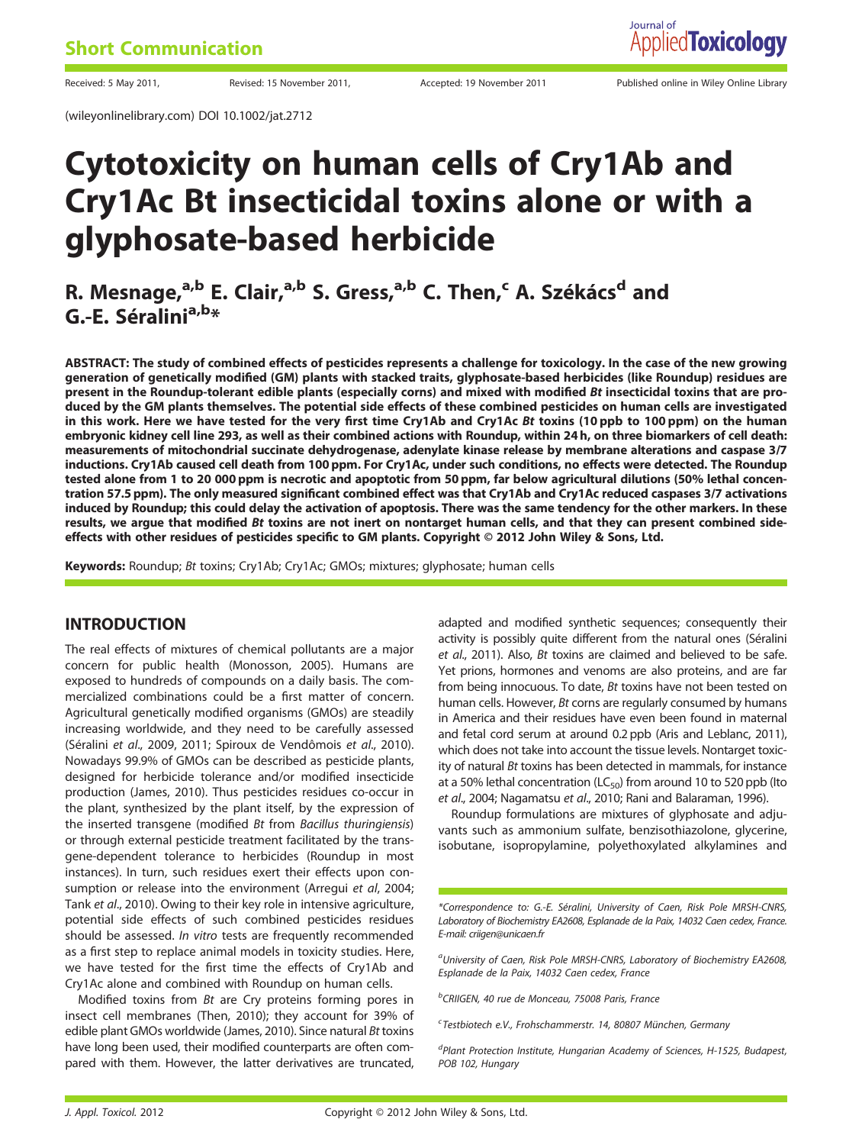(wileyonlinelibrary.com) DOI 10.1002/jat.2712

Received: 5 May 2011, Revised: 15 November 2011, Accepted: 19 November 2011 Published online in Wiley Online Library

## Cytotoxicity on human cells of Cry1Ab and Cry1Ac Bt insecticidal toxins alone or with a glyphosate-based herbicide

R. Mesnage,<sup>a,b</sup> E. Clair,<sup>a,b</sup> S. Gress,<sup>a,b</sup> C. Then,<sup>c</sup> A. Székács<sup>d</sup> and G.-E. Séralini<sup>a,b\*</sup>

ABSTRACT: The study of combined effects of pesticides represents a challenge for toxicology. In the case of the new growing generation of genetically modified (GM) plants with stacked traits, glyphosate-based herbicides (like Roundup) residues are present in the Roundup-tolerant edible plants (especially corns) and mixed with modified Bt insecticidal toxins that are produced by the GM plants themselves. The potential side effects of these combined pesticides on human cells are investigated in this work. Here we have tested for the very first time Cry1Ab and Cry1Ac Bt toxins (10 ppb to 100 ppm) on the human embryonic kidney cell line 293, as well as their combined actions with Roundup, within 24 h, on three biomarkers of cell death: measurements of mitochondrial succinate dehydrogenase, adenylate kinase release by membrane alterations and caspase 3/7 inductions. Cry1Ab caused cell death from 100 ppm. For Cry1Ac, under such conditions, no effects were detected. The Roundup tested alone from 1 to 20 000 ppm is necrotic and apoptotic from 50 ppm, far below agricultural dilutions (50% lethal concentration 57.5 ppm). The only measured significant combined effect was that Cry1Ab and Cry1Ac reduced caspases 3/7 activations induced by Roundup; this could delay the activation of apoptosis. There was the same tendency for the other markers. In these results, we argue that modified Bt toxins are not inert on nontarget human cells, and that they can present combined sideeffects with other residues of pesticides specific to GM plants. Copyright © 2012 John Wiley & Sons, Ltd.

Keywords: Roundup; Bt toxins; Cry1Ab; Cry1Ac; GMOs; mixtures; glyphosate; human cells

### INTRODUCTION

The real effects of mixtures of chemical pollutants are a major concern for public health (Monosson, 2005). Humans are exposed to hundreds of compounds on a daily basis. The commercialized combinations could be a first matter of concern. Agricultural genetically modified organisms (GMOs) are steadily increasing worldwide, and they need to be carefully assessed (Séralini et al., 2009, 2011; Spiroux de Vendômois et al., 2010). Nowadays 99.9% of GMOs can be described as pesticide plants, designed for herbicide tolerance and/or modified insecticide production (James, 2010). Thus pesticides residues co-occur in the plant, synthesized by the plant itself, by the expression of the inserted transgene (modified Bt from Bacillus thuringiensis) or through external pesticide treatment facilitated by the transgene-dependent tolerance to herbicides (Roundup in most instances). In turn, such residues exert their effects upon consumption or release into the environment (Arregui et al, 2004; Tank et al., 2010). Owing to their key role in intensive agriculture, potential side effects of such combined pesticides residues should be assessed. In vitro tests are frequently recommended as a first step to replace animal models in toxicity studies. Here, we have tested for the first time the effects of Cry1Ab and Cry1Ac alone and combined with Roundup on human cells.

Modified toxins from Bt are Cry proteins forming pores in insect cell membranes (Then, 2010); they account for 39% of edible plant GMOs worldwide (James, 2010). Since natural Bt toxins have long been used, their modified counterparts are often compared with them. However, the latter derivatives are truncated,

adapted and modified synthetic sequences; consequently their activity is possibly quite different from the natural ones (Séralini et al., 2011). Also, Bt toxins are claimed and believed to be safe. Yet prions, hormones and venoms are also proteins, and are far from being innocuous. To date, Bt toxins have not been tested on human cells. However, Bt corns are regularly consumed by humans in America and their residues have even been found in maternal and fetal cord serum at around 0.2 ppb (Aris and Leblanc, 2011), which does not take into account the tissue levels. Nontarget toxicity of natural Bt toxins has been detected in mammals, for instance at a 50% lethal concentration ( $LC_{50}$ ) from around 10 to 520 ppb (Ito et al., 2004; Nagamatsu et al., 2010; Rani and Balaraman, 1996).

Roundup formulations are mixtures of glyphosate and adjuvants such as ammonium sulfate, benzisothiazolone, glycerine, isobutane, isopropylamine, polyethoxylated alkylamines and

\*Correspondence to: G.-E. Séralini, University of Caen, Risk Pole MRSH-CNRS, Laboratory of Biochemistry EA2608, Esplanade de la Paix, 14032 Caen cedex, France. E-mail: criigen@unicaen.fr

<sup>a</sup>University of Caen, Risk Pole MRSH-CNRS, Laboratory of Biochemistry EA2608, Esplanade de la Paix, 14032 Caen cedex, France

<sup>b</sup>CRIIGEN, 40 rue de Monceau, 75008 Paris, France

<sup>c</sup>Testbiotech e.V., Frohschammerstr. 14, 80807 München, Germany

<sup>d</sup>Plant Protection Institute, Hungarian Academy of Sciences, H-1525, Budapest, POB 102, Hungary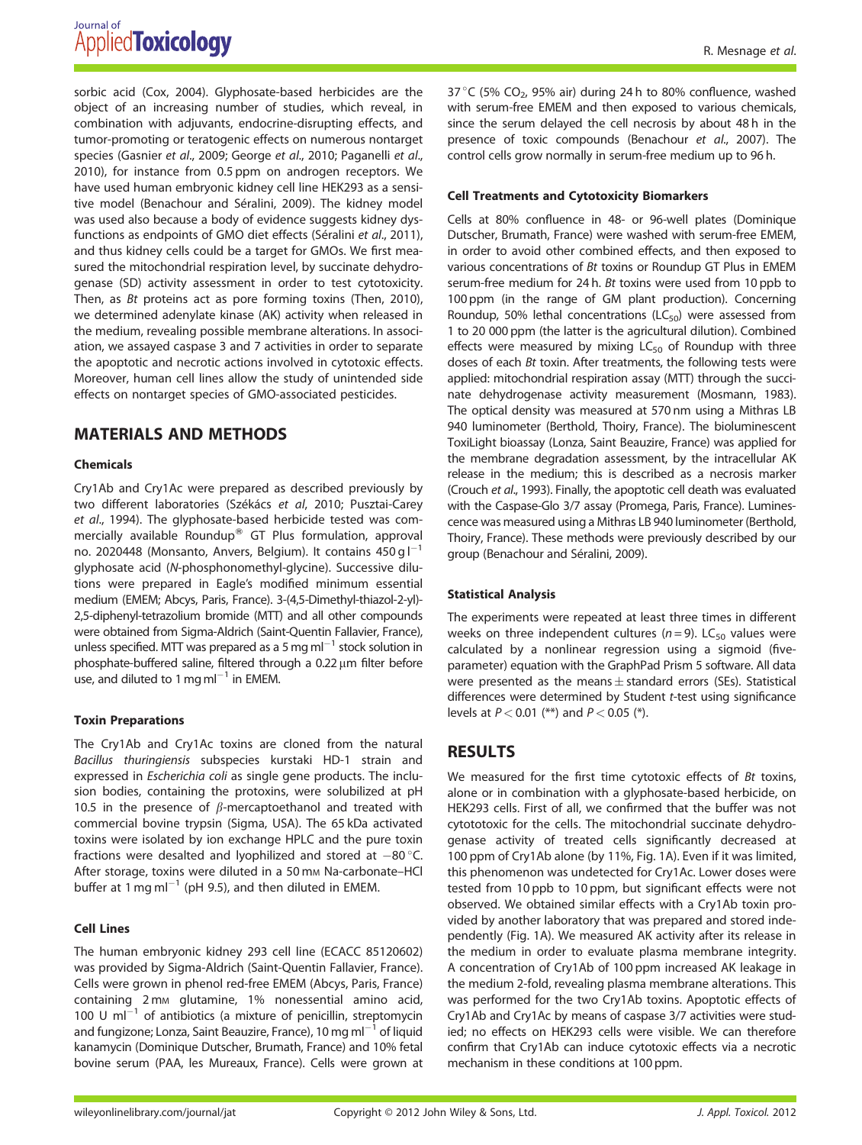sorbic acid (Cox, 2004). Glyphosate-based herbicides are the object of an increasing number of studies, which reveal, in combination with adjuvants, endocrine-disrupting effects, and tumor-promoting or teratogenic effects on numerous nontarget species (Gasnier et al., 2009; George et al., 2010; Paganelli et al., 2010), for instance from 0.5 ppm on androgen receptors. We have used human embryonic kidney cell line HEK293 as a sensitive model (Benachour and Séralini, 2009). The kidney model was used also because a body of evidence suggests kidney dysfunctions as endpoints of GMO diet effects (Séralini et al., 2011), and thus kidney cells could be a target for GMOs. We first measured the mitochondrial respiration level, by succinate dehydrogenase (SD) activity assessment in order to test cytotoxicity. Then, as Bt proteins act as pore forming toxins (Then, 2010), we determined adenylate kinase (AK) activity when released in the medium, revealing possible membrane alterations. In association, we assayed caspase 3 and 7 activities in order to separate the apoptotic and necrotic actions involved in cytotoxic effects. Moreover, human cell lines allow the study of unintended side effects on nontarget species of GMO-associated pesticides.

## MATERIALS AND METHODS

#### Chemicals

Cry1Ab and Cry1Ac were prepared as described previously by two different laboratories (Székács et al, 2010; Pusztai-Carey et al., 1994). The glyphosate-based herbicide tested was commercially available Roundup<sup>®</sup> GT Plus formulation, approval no. 2020448 (Monsanto, Anvers, Belgium). It contains 450 g  $I^{-1}$ glyphosate acid (N-phosphonomethyl-glycine). Successive dilutions were prepared in Eagle's modified minimum essential medium (EMEM; Abcys, Paris, France). 3-(4,5-Dimethyl-thiazol-2-yl)- 2,5-diphenyl-tetrazolium bromide (MTT) and all other compounds were obtained from Sigma-Aldrich (Saint-Quentin Fallavier, France), unless specified. MTT was prepared as a 5 mg ml<sup>-1</sup> stock solution in phosphate-buffered saline, filtered through a  $0.22 \,\mu m$  filter before use, and diluted to 1 mg m $I^{-1}$  in EMEM.

#### Toxin Preparations

The Cry1Ab and Cry1Ac toxins are cloned from the natural Bacillus thuringiensis subspecies kurstaki HD-1 strain and expressed in Escherichia coli as single gene products. The inclusion bodies, containing the protoxins, were solubilized at pH 10.5 in the presence of  $\beta$ -mercaptoethanol and treated with commercial bovine trypsin (Sigma, USA). The 65 kDa activated toxins were isolated by ion exchange HPLC and the pure toxin fractions were desalted and lyophilized and stored at  $-80^{\circ}$ C. After storage, toxins were diluted in a 50 mm Na-carbonate-HCl buffer at 1 mg ml<sup>-1</sup> (pH 9.5), and then diluted in EMEM.

#### Cell Lines

The human embryonic kidney 293 cell line (ECACC 85120602) was provided by Sigma-Aldrich (Saint-Quentin Fallavier, France). Cells were grown in phenol red-free EMEM (Abcys, Paris, France) containing 2 mM glutamine, 1% nonessential amino acid, 100 U  $ml^{-1}$  of antibiotics (a mixture of penicillin, streptomycin and fungizone; Lonza, Saint Beauzire, France), 10 mg m $1^{-1}$  of liquid kanamycin (Dominique Dutscher, Brumath, France) and 10% fetal bovine serum (PAA, les Mureaux, France). Cells were grown at

37 °C (5% CO<sub>2</sub>, 95% air) during 24 h to 80% confluence, washed with serum-free EMEM and then exposed to various chemicals, since the serum delayed the cell necrosis by about 48 h in the presence of toxic compounds (Benachour et al., 2007). The control cells grow normally in serum-free medium up to 96 h.

#### Cell Treatments and Cytotoxicity Biomarkers

Cells at 80% confluence in 48- or 96-well plates (Dominique Dutscher, Brumath, France) were washed with serum-free EMEM, in order to avoid other combined effects, and then exposed to various concentrations of Bt toxins or Roundup GT Plus in EMEM serum-free medium for 24 h. Bt toxins were used from 10 ppb to 100 ppm (in the range of GM plant production). Concerning Roundup, 50% lethal concentrations ( $LC_{50}$ ) were assessed from 1 to 20 000 ppm (the latter is the agricultural dilution). Combined effects were measured by mixing  $LC_{50}$  of Roundup with three doses of each Bt toxin. After treatments, the following tests were applied: mitochondrial respiration assay (MTT) through the succinate dehydrogenase activity measurement (Mosmann, 1983). The optical density was measured at 570 nm using a Mithras LB 940 luminometer (Berthold, Thoiry, France). The bioluminescent ToxiLight bioassay (Lonza, Saint Beauzire, France) was applied for the membrane degradation assessment, by the intracellular AK release in the medium; this is described as a necrosis marker (Crouch et al., 1993). Finally, the apoptotic cell death was evaluated with the Caspase-Glo 3/7 assay (Promega, Paris, France). Luminescence was measured using a Mithras LB 940 luminometer (Berthold, Thoiry, France). These methods were previously described by our group (Benachour and Séralini, 2009).

#### Statistical Analysis

The experiments were repeated at least three times in different weeks on three independent cultures ( $n = 9$ ). LC<sub>50</sub> values were calculated by a nonlinear regression using a sigmoid (fiveparameter) equation with the GraphPad Prism 5 software. All data were presented as the means  $\pm$  standard errors (SEs). Statistical differences were determined by Student t-test using significance levels at  $P < 0.01$  (\*\*) and  $P < 0.05$  (\*).

## RESULTS

We measured for the first time cytotoxic effects of Bt toxins, alone or in combination with a glyphosate-based herbicide, on HEK293 cells. First of all, we confirmed that the buffer was not cytototoxic for the cells. The mitochondrial succinate dehydrogenase activity of treated cells significantly decreased at 100 ppm of Cry1Ab alone (by 11%, Fig. 1A). Even if it was limited, this phenomenon was undetected for Cry1Ac. Lower doses were tested from 10 ppb to 10 ppm, but significant effects were not observed. We obtained similar effects with a Cry1Ab toxin provided by another laboratory that was prepared and stored independently (Fig. 1A). We measured AK activity after its release in the medium in order to evaluate plasma membrane integrity. A concentration of Cry1Ab of 100 ppm increased AK leakage in the medium 2-fold, revealing plasma membrane alterations. This was performed for the two Cry1Ab toxins. Apoptotic effects of Cry1Ab and Cry1Ac by means of caspase 3/7 activities were studied; no effects on HEK293 cells were visible. We can therefore confirm that Cry1Ab can induce cytotoxic effects via a necrotic mechanism in these conditions at 100 ppm.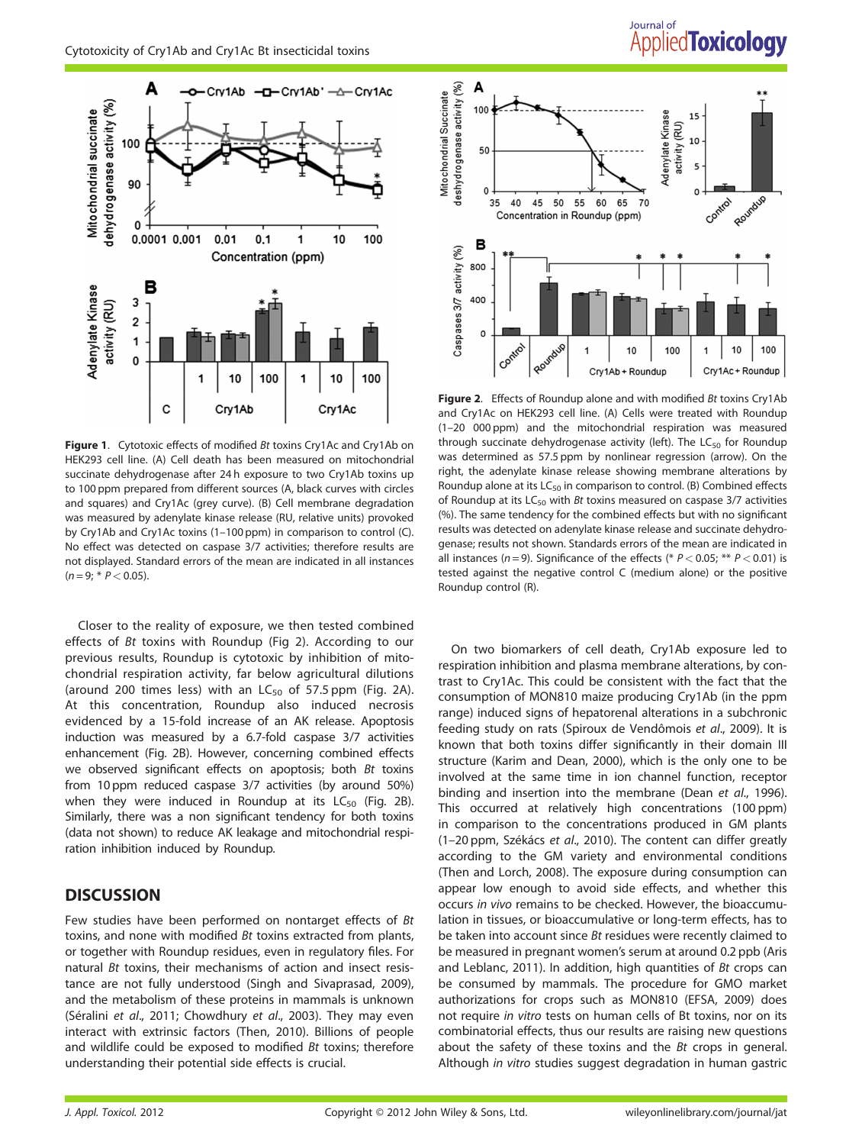

Figure 1. Cytotoxic effects of modified Bt toxins Cry1Ac and Cry1Ab on HEK293 cell line. (A) Cell death has been measured on mitochondrial succinate dehydrogenase after 24 h exposure to two Cry1Ab toxins up to 100 ppm prepared from different sources (A, black curves with circles and squares) and Cry1Ac (grey curve). (B) Cell membrane degradation was measured by adenylate kinase release (RU, relative units) provoked by Cry1Ab and Cry1Ac toxins (1–100 ppm) in comparison to control (C). No effect was detected on caspase 3/7 activities; therefore results are not displayed. Standard errors of the mean are indicated in all instances  $(n = 9; * P < 0.05)$ .

Closer to the reality of exposure, we then tested combined effects of Bt toxins with Roundup (Fig 2). According to our previous results, Roundup is cytotoxic by inhibition of mitochondrial respiration activity, far below agricultural dilutions (around 200 times less) with an  $LC_{50}$  of 57.5 ppm (Fig. 2A). At this concentration, Roundup also induced necrosis evidenced by a 15-fold increase of an AK release. Apoptosis induction was measured by a 6.7-fold caspase 3/7 activities enhancement (Fig. 2B). However, concerning combined effects we observed significant effects on apoptosis; both Bt toxins from 10 ppm reduced caspase 3/7 activities (by around 50%) when they were induced in Roundup at its  $LC_{50}$  (Fig. 2B). Similarly, there was a non significant tendency for both toxins (data not shown) to reduce AK leakage and mitochondrial respiration inhibition induced by Roundup.

## **DISCUSSION**

Few studies have been performed on nontarget effects of Bt toxins, and none with modified Bt toxins extracted from plants, or together with Roundup residues, even in regulatory files. For natural Bt toxins, their mechanisms of action and insect resistance are not fully understood (Singh and Sivaprasad, 2009), and the metabolism of these proteins in mammals is unknown (Séralini et al., 2011; Chowdhury et al., 2003). They may even interact with extrinsic factors (Then, 2010). Billions of people and wildlife could be exposed to modified Bt toxins; therefore understanding their potential side effects is crucial.

# Journal of **Applied Toxicology**



Figure 2. Effects of Roundup alone and with modified Bt toxins Cry1Ab and Cry1Ac on HEK293 cell line. (A) Cells were treated with Roundup (1–20 000 ppm) and the mitochondrial respiration was measured through succinate dehydrogenase activity (left). The  $LC_{50}$  for Roundup was determined as 57.5 ppm by nonlinear regression (arrow). On the right, the adenylate kinase release showing membrane alterations by Roundup alone at its  $LC_{50}$  in comparison to control. (B) Combined effects of Roundup at its  $LC_{50}$  with *Bt* toxins measured on caspase 3/7 activities (%). The same tendency for the combined effects but with no significant results was detected on adenylate kinase release and succinate dehydrogenase; results not shown. Standards errors of the mean are indicated in all instances ( $n = 9$ ). Significance of the effects (\*  $P < 0.05$ ; \*\*  $P < 0.01$ ) is tested against the negative control C (medium alone) or the positive Roundup control (R).

On two biomarkers of cell death, Cry1Ab exposure led to respiration inhibition and plasma membrane alterations, by contrast to Cry1Ac. This could be consistent with the fact that the consumption of MON810 maize producing Cry1Ab (in the ppm range) induced signs of hepatorenal alterations in a subchronic feeding study on rats (Spiroux de Vendômois et al., 2009). It is known that both toxins differ significantly in their domain III structure (Karim and Dean, 2000), which is the only one to be involved at the same time in ion channel function, receptor binding and insertion into the membrane (Dean et al., 1996). This occurred at relatively high concentrations (100 ppm) in comparison to the concentrations produced in GM plants (1–20 ppm, Székács et al., 2010). The content can differ greatly according to the GM variety and environmental conditions (Then and Lorch, 2008). The exposure during consumption can appear low enough to avoid side effects, and whether this occurs in vivo remains to be checked. However, the bioaccumulation in tissues, or bioaccumulative or long-term effects, has to be taken into account since Bt residues were recently claimed to be measured in pregnant women's serum at around 0.2 ppb (Aris and Leblanc, 2011). In addition, high quantities of Bt crops can be consumed by mammals. The procedure for GMO market authorizations for crops such as MON810 (EFSA, 2009) does not require in vitro tests on human cells of Bt toxins, nor on its combinatorial effects, thus our results are raising new questions about the safety of these toxins and the Bt crops in general. Although in vitro studies suggest degradation in human gastric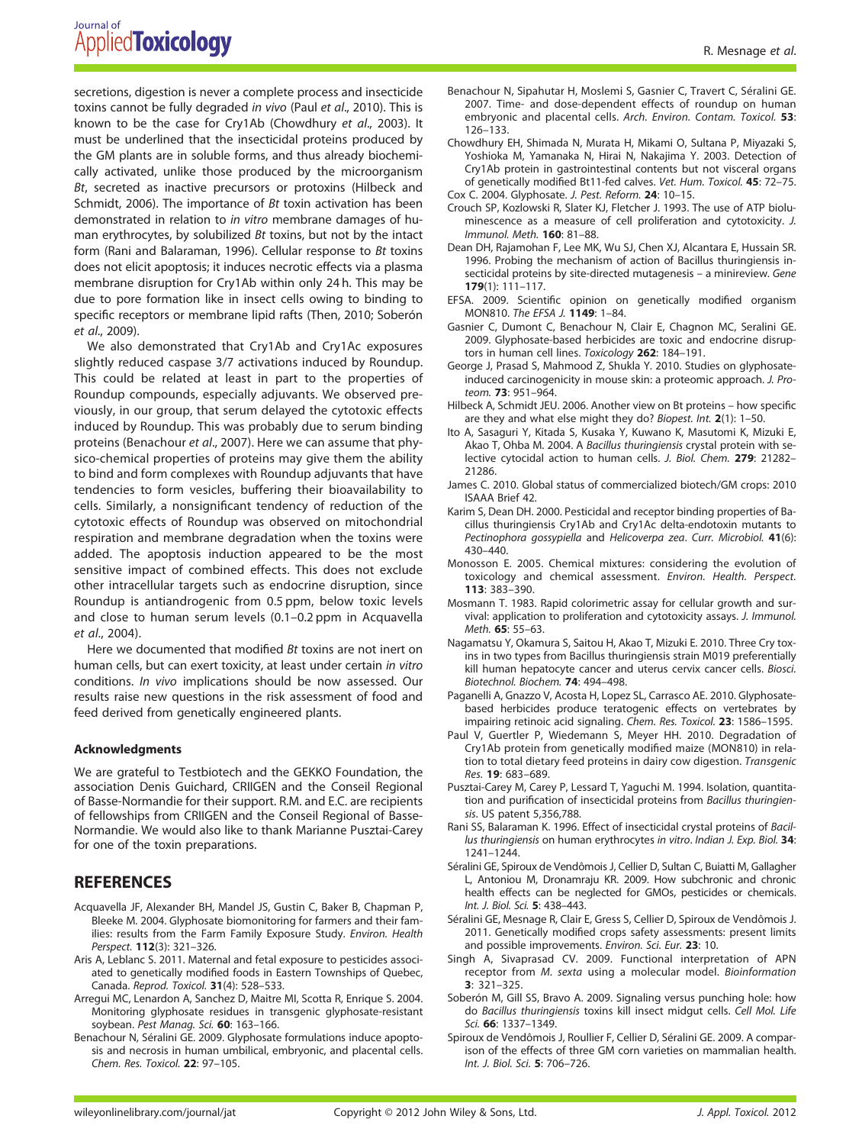secretions, digestion is never a complete process and insecticide toxins cannot be fully degraded in vivo (Paul et al., 2010). This is known to be the case for Cry1Ab (Chowdhury et al., 2003). It must be underlined that the insecticidal proteins produced by the GM plants are in soluble forms, and thus already biochemically activated, unlike those produced by the microorganism Bt, secreted as inactive precursors or protoxins (Hilbeck and Schmidt, 2006). The importance of Bt toxin activation has been demonstrated in relation to in vitro membrane damages of human erythrocytes, by solubilized  $Bt$  toxins, but not by the intact form (Rani and Balaraman, 1996). Cellular response to Bt toxins does not elicit apoptosis; it induces necrotic effects via a plasma membrane disruption for Cry1Ab within only 24 h. This may be due to pore formation like in insect cells owing to binding to specific receptors or membrane lipid rafts (Then, 2010; Soberón et al., 2009).

We also demonstrated that Cry1Ab and Cry1Ac exposures slightly reduced caspase 3/7 activations induced by Roundup. This could be related at least in part to the properties of Roundup compounds, especially adjuvants. We observed previously, in our group, that serum delayed the cytotoxic effects induced by Roundup. This was probably due to serum binding proteins (Benachour et al., 2007). Here we can assume that physico-chemical properties of proteins may give them the ability to bind and form complexes with Roundup adjuvants that have tendencies to form vesicles, buffering their bioavailability to cells. Similarly, a nonsignificant tendency of reduction of the cytotoxic effects of Roundup was observed on mitochondrial respiration and membrane degradation when the toxins were added. The apoptosis induction appeared to be the most sensitive impact of combined effects. This does not exclude other intracellular targets such as endocrine disruption, since Roundup is antiandrogenic from 0.5 ppm, below toxic levels and close to human serum levels (0.1–0.2 ppm in Acquavella et al., 2004).

Here we documented that modified Bt toxins are not inert on human cells, but can exert toxicity, at least under certain in vitro conditions. In vivo implications should be now assessed. Our results raise new questions in the risk assessment of food and feed derived from genetically engineered plants.

#### Acknowledgments

We are grateful to Testbiotech and the GEKKO Foundation, the association Denis Guichard, CRIIGEN and the Conseil Regional of Basse-Normandie for their support. R.M. and E.C. are recipients of fellowships from CRIIGEN and the Conseil Regional of Basse-Normandie. We would also like to thank Marianne Pusztai-Carey for one of the toxin preparations.

## **REFERENCES**

- Acquavella JF, Alexander BH, Mandel JS, Gustin C, Baker B, Chapman P, Bleeke M. 2004. Glyphosate biomonitoring for farmers and their families: results from the Farm Family Exposure Study. Environ. Health Perspect. 112(3): 321–326.
- Aris A, Leblanc S. 2011. Maternal and fetal exposure to pesticides associated to genetically modified foods in Eastern Townships of Quebec, Canada. Reprod. Toxicol. 31(4): 528–533.
- Arregui MC, Lenardon A, Sanchez D, Maitre MI, Scotta R, Enrique S. 2004. Monitoring glyphosate residues in transgenic glyphosate-resistant soybean. Pest Manag. Sci. 60: 163-166.
- Benachour N, Séralini GE. 2009. Glyphosate formulations induce apoptosis and necrosis in human umbilical, embryonic, and placental cells. Chem. Res. Toxicol. 22: 97–105.
- Benachour N, Sipahutar H, Moslemi S, Gasnier C, Travert C, Séralini GE. 2007. Time- and dose-dependent effects of roundup on human embryonic and placental cells. Arch. Environ. Contam. Toxicol. 53: 126–133.
- Chowdhury EH, Shimada N, Murata H, Mikami O, Sultana P, Miyazaki S, Yoshioka M, Yamanaka N, Hirai N, Nakajima Y. 2003. Detection of Cry1Ab protein in gastrointestinal contents but not visceral organs of genetically modified Bt11-fed calves. Vet. Hum. Toxicol. 45: 72–75. Cox C. 2004. Glyphosate. J. Pest. Reform. 24: 10–15.
- Crouch SP, Kozlowski R, Slater KJ, Fletcher J. 1993. The use of ATP bioluminescence as a measure of cell proliferation and cytotoxicity. J. Immunol. Meth. 160: 81–88.
- Dean DH, Rajamohan F, Lee MK, Wu SJ, Chen XJ, Alcantara E, Hussain SR. 1996. Probing the mechanism of action of Bacillus thuringiensis insecticidal proteins by site-directed mutagenesis – a minireview. Gene 179(1): 111–117.
- EFSA. 2009. Scientific opinion on genetically modified organism MON810. The EFSA J. 1149: 1–84.
- Gasnier C, Dumont C, Benachour N, Clair E, Chagnon MC, Seralini GE. 2009. Glyphosate-based herbicides are toxic and endocrine disruptors in human cell lines. Toxicology 262: 184–191.
- George J, Prasad S, Mahmood Z, Shukla Y. 2010. Studies on glyphosateinduced carcinogenicity in mouse skin: a proteomic approach. J. Proteom. 73: 951–964.
- Hilbeck A, Schmidt JEU. 2006. Another view on Bt proteins how specific are they and what else might they do? Biopest. Int. 2(1): 1-50.
- Ito A, Sasaguri Y, Kitada S, Kusaka Y, Kuwano K, Masutomi K, Mizuki E, Akao T, Ohba M. 2004. A Bacillus thuringiensis crystal protein with selective cytocidal action to human cells. J. Biol. Chem. 279: 21282– 21286.
- James C. 2010. Global status of commercialized biotech/GM crops: 2010 ISAAA Brief 42.
- Karim S, Dean DH. 2000. Pesticidal and receptor binding properties of Bacillus thuringiensis Cry1Ab and Cry1Ac delta-endotoxin mutants to Pectinophora gossypiella and Helicoverpa zea. Curr. Microbiol. 41(6): 430–440.
- Monosson E. 2005. Chemical mixtures: considering the evolution of toxicology and chemical assessment. Environ. Health. Perspect. 113: 383–390.
- Mosmann T. 1983. Rapid colorimetric assay for cellular growth and survival: application to proliferation and cytotoxicity assays. J. Immunol. Meth. 65: 55–63.
- Nagamatsu Y, Okamura S, Saitou H, Akao T, Mizuki E. 2010. Three Cry toxins in two types from Bacillus thuringiensis strain M019 preferentially kill human hepatocyte cancer and uterus cervix cancer cells. Biosci. Biotechnol. Biochem. 74: 494–498.
- Paganelli A, Gnazzo V, Acosta H, Lopez SL, Carrasco AE. 2010. Glyphosatebased herbicides produce teratogenic effects on vertebrates by impairing retinoic acid signaling. Chem. Res. Toxicol. 23: 1586–1595.
- Paul V, Guertler P, Wiedemann S, Meyer HH. 2010. Degradation of Cry1Ab protein from genetically modified maize (MON810) in relation to total dietary feed proteins in dairy cow digestion. Transgenic Res. 19: 683–689.
- Pusztai-Carey M, Carey P, Lessard T, Yaguchi M. 1994. Isolation, quantitation and purification of insecticidal proteins from Bacillus thuringiensis. US patent 5,356,788.
- Rani SS, Balaraman K. 1996. Effect of insecticidal crystal proteins of Bacillus thuringiensis on human erythrocytes in vitro. Indian J. Exp. Biol. 34: 1241–1244.
- Séralini GE, Spiroux de Vendômois J, Cellier D, Sultan C, Buiatti M, Gallagher L, Antoniou M, Dronamraju KR. 2009. How subchronic and chronic health effects can be neglected for GMOs, pesticides or chemicals. Int. J. Biol. Sci. 5: 438–443.
- Séralini GE, Mesnage R, Clair E, Gress S, Cellier D, Spiroux de Vendômois J. 2011. Genetically modified crops safety assessments: present limits and possible improvements. Environ. Sci. Eur. 23: 10.
- Singh A, Sivaprasad CV. 2009. Functional interpretation of APN receptor from M. sexta using a molecular model. Bioinformation 3: 321–325.
- Soberón M, Gill SS, Bravo A. 2009. Signaling versus punching hole: how do Bacillus thuringiensis toxins kill insect midgut cells. Cell Mol. Life Sci. 66: 1337–1349.
- Spiroux de Vendômois J, Roullier F, Cellier D, Séralini GE. 2009. A comparison of the effects of three GM corn varieties on mammalian health. Int. J. Biol. Sci. 5: 706–726.